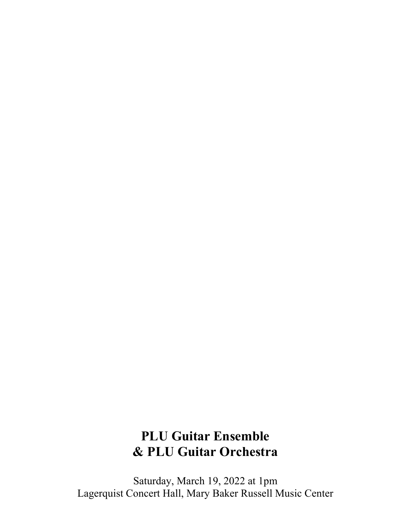## **PLU Guitar Ensemble & PLU Guitar Orchestra**

Saturday, March 19, 2022 at 1pm Lagerquist Concert Hall, Mary Baker Russell Music Center